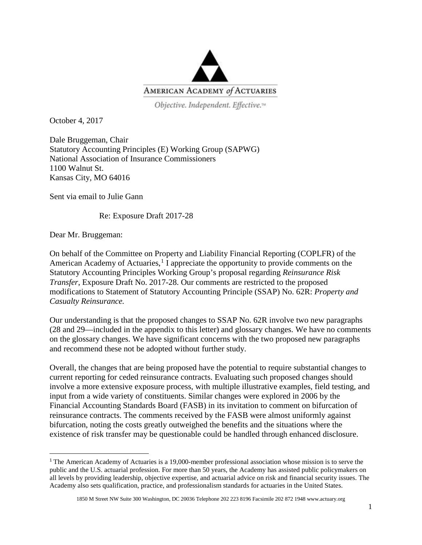

Objective. Independent. Effective.<sup>14</sup>

October 4, 2017

Dale Bruggeman, Chair Statutory Accounting Principles (E) Working Group (SAPWG) National Association of Insurance Commissioners 1100 Walnut St. Kansas City, MO 64016

Sent via email to Julie Gann

Re: Exposure Draft 2017-28

Dear Mr. Bruggeman:

On behalf of the Committee on Property and Liability Financial Reporting (COPLFR) of the American Academy of Actuaries,<sup>[1](#page-0-0)</sup> I appreciate the opportunity to provide comments on the Statutory Accounting Principles Working Group's proposal regarding *Reinsurance Risk Transfer*, Exposure Draft No. 2017-28. Our comments are restricted to the proposed modifications to Statement of Statutory Accounting Principle (SSAP) No. 62R: *Property and Casualty Reinsurance.* 

Our understanding is that the proposed changes to SSAP No. 62R involve two new paragraphs (28 and 29—included in the appendix to this letter) and glossary changes. We have no comments on the glossary changes. We have significant concerns with the two proposed new paragraphs and recommend these not be adopted without further study.

Overall, the changes that are being proposed have the potential to require substantial changes to current reporting for ceded reinsurance contracts. Evaluating such proposed changes should involve a more extensive exposure process, with multiple illustrative examples, field testing, and input from a wide variety of constituents. Similar changes were explored in 2006 by the Financial Accounting Standards Board (FASB) in its invitation to comment on bifurcation of reinsurance contracts. The comments received by the FASB were almost uniformly against bifurcation, noting the costs greatly outweighed the benefits and the situations where the existence of risk transfer may be questionable could be handled through enhanced disclosure.

<span id="page-0-0"></span><sup>&</sup>lt;sup>1</sup> The American Academy of Actuaries is a 19,000-member professional association whose mission is to serve the public and the U.S. actuarial profession. For more than 50 years, the Academy has assisted public policymakers on all levels by providing leadership, objective expertise, and actuarial advice on risk and financial security issues. The Academy also sets qualification, practice, and professionalism standards for actuaries in the United States.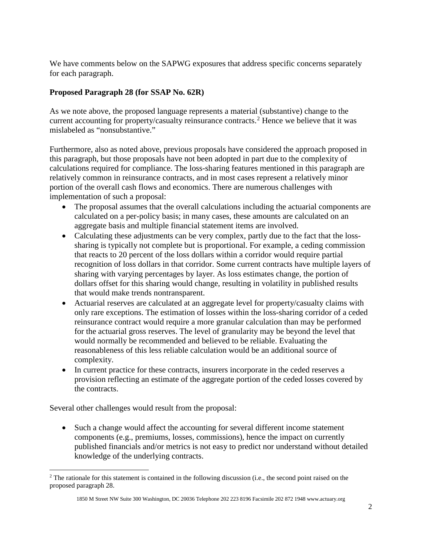We have comments below on the SAPWG exposures that address specific concerns separately for each paragraph.

## **Proposed Paragraph 28 (for SSAP No. 62R)**

As we note above, the proposed language represents a material (substantive) change to the current accounting for property/casualty reinsurance contracts. [2](#page-1-0) Hence we believe that it was mislabeled as "nonsubstantive."

Furthermore, also as noted above, previous proposals have considered the approach proposed in this paragraph, but those proposals have not been adopted in part due to the complexity of calculations required for compliance. The loss-sharing features mentioned in this paragraph are relatively common in reinsurance contracts, and in most cases represent a relatively minor portion of the overall cash flows and economics. There are numerous challenges with implementation of such a proposal:

- The proposal assumes that the overall calculations including the actuarial components are calculated on a per-policy basis; in many cases, these amounts are calculated on an aggregate basis and multiple financial statement items are involved.
- Calculating these adjustments can be very complex, partly due to the fact that the losssharing is typically not complete but is proportional. For example, a ceding commission that reacts to 20 percent of the loss dollars within a corridor would require partial recognition of loss dollars in that corridor. Some current contracts have multiple layers of sharing with varying percentages by layer. As loss estimates change, the portion of dollars offset for this sharing would change, resulting in volatility in published results that would make trends nontransparent.
- Actuarial reserves are calculated at an aggregate level for property/casualty claims with only rare exceptions. The estimation of losses within the loss-sharing corridor of a ceded reinsurance contract would require a more granular calculation than may be performed for the actuarial gross reserves. The level of granularity may be beyond the level that would normally be recommended and believed to be reliable. Evaluating the reasonableness of this less reliable calculation would be an additional source of complexity.
- In current practice for these contracts, insurers incorporate in the ceded reserves a provision reflecting an estimate of the aggregate portion of the ceded losses covered by the contracts.

Several other challenges would result from the proposal:

 $\overline{\phantom{a}}$ 

• Such a change would affect the accounting for several different income statement components (e.g., premiums, losses, commissions), hence the impact on currently published financials and/or metrics is not easy to predict nor understand without detailed knowledge of the underlying contracts.

<span id="page-1-0"></span><sup>&</sup>lt;sup>2</sup> The rationale for this statement is contained in the following discussion (i.e., the second point raised on the proposed paragraph 28.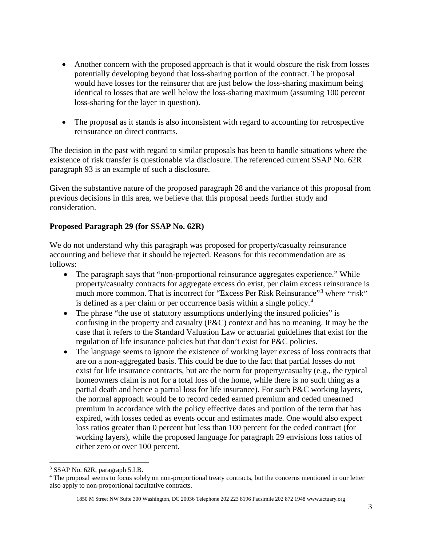- Another concern with the proposed approach is that it would obscure the risk from losses potentially developing beyond that loss-sharing portion of the contract. The proposal would have losses for the reinsurer that are just below the loss-sharing maximum being identical to losses that are well below the loss-sharing maximum (assuming 100 percent loss-sharing for the layer in question).
- The proposal as it stands is also inconsistent with regard to accounting for retrospective reinsurance on direct contracts.

The decision in the past with regard to similar proposals has been to handle situations where the existence of risk transfer is questionable via disclosure. The referenced current SSAP No. 62R paragraph 93 is an example of such a disclosure.

Given the substantive nature of the proposed paragraph 28 and the variance of this proposal from previous decisions in this area, we believe that this proposal needs further study and consideration.

## **Proposed Paragraph 29 (for SSAP No. 62R)**

We do not understand why this paragraph was proposed for property/casualty reinsurance accounting and believe that it should be rejected. Reasons for this recommendation are as follows:

- The paragraph says that "non-proportional reinsurance aggregates experience." While property/casualty contracts for aggregate excess do exist, per claim excess reinsurance is much more common. That is incorrect for "Excess Per Risk Reinsurance"<sup>[3](#page-2-0)</sup> where "risk" is defined as a per claim or per occurrence basis within a single policy.<sup>[4](#page-2-1)</sup>
- The phrase "the use of statutory assumptions underlying the insured policies" is confusing in the property and casualty (P&C) context and has no meaning. It may be the case that it refers to the Standard Valuation Law or actuarial guidelines that exist for the regulation of life insurance policies but that don't exist for P&C policies.
- The language seems to ignore the existence of working layer excess of loss contracts that are on a non-aggregated basis. This could be due to the fact that partial losses do not exist for life insurance contracts, but are the norm for property/casualty (e.g., the typical homeowners claim is not for a total loss of the home, while there is no such thing as a partial death and hence a partial loss for life insurance). For such P&C working layers, the normal approach would be to record ceded earned premium and ceded unearned premium in accordance with the policy effective dates and portion of the term that has expired, with losses ceded as events occur and estimates made. One would also expect loss ratios greater than 0 percent but less than 100 percent for the ceded contract (for working layers), while the proposed language for paragraph 29 envisions loss ratios of either zero or over 100 percent.

 $\overline{a}$ 

<span id="page-2-0"></span><sup>3</sup> SSAP No. 62R, paragraph 5.I.B.

<span id="page-2-1"></span><sup>&</sup>lt;sup>4</sup> The proposal seems to focus solely on non-proportional treaty contracts, but the concerns mentioned in our letter also apply to non-proportional facultative contracts.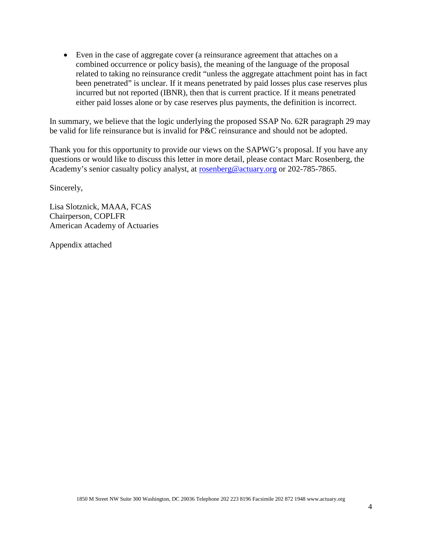• Even in the case of aggregate cover (a reinsurance agreement that attaches on a combined occurrence or policy basis), the meaning of the language of the proposal related to taking no reinsurance credit "unless the aggregate attachment point has in fact been penetrated" is unclear. If it means penetrated by paid losses plus case reserves plus incurred but not reported (IBNR), then that is current practice. If it means penetrated either paid losses alone or by case reserves plus payments, the definition is incorrect.

In summary, we believe that the logic underlying the proposed SSAP No. 62R paragraph 29 may be valid for life reinsurance but is invalid for P&C reinsurance and should not be adopted.

Thank you for this opportunity to provide our views on the SAPWG's proposal. If you have any questions or would like to discuss this letter in more detail, please contact Marc Rosenberg, the Academy's senior casualty policy analyst, at [rosenberg@actuary.org](mailto:rosenberg@actuary.org) or 202-785-7865.

Sincerely,

Lisa Slotznick, MAAA, FCAS Chairperson, COPLFR American Academy of Actuaries

Appendix attached